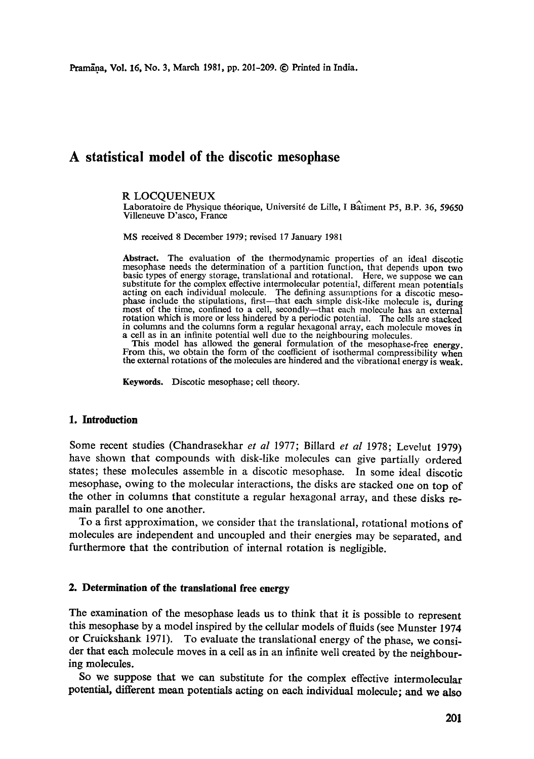# **A statistical model of the discotic mesophase**

#### R LOCQUENEUX

Laboratoire de Physique théorique, Université de Lille, I Batiment P5, B.P. 36, 59650 Villeneuve D'asco, France

MS received 8 December 1979; revised 17 January 1981

Abstract. The evaluation of the thermodynamic properties of an ideal discotic mesophase needs the determination of a partition function, that depends upon two basic types of energy storage, translational and rotational. Here, we suppose we can substitute for the complex effective intermolecular potential, different mean potentials acting on each individual molecule. The defining assumptions for a discotic mesophase include the stipulations, first--that each simple disk-like molecule is, during most of the time, confined to a cell, secondly--that each molecule has an external rotation which is more or less hindered by a periodic potential. The cells are stacked in columns and the columns form a regular hexagonal array, each molecule moves in a cell as in an infinite potential well due to the neighbouring molecules.

This model has allowed the general formulation of the mesophase-free energy. From this, we obtain the form of the coefficient of isothermal compressibility when the external rotations of the molecules are hindered and the vibrational energy is weak.

Keywords. Discotic mesophase; cell theory.

#### **1. Introduction**

Some recent studies (Chandrasekhar *et al* 1977; Billard *et al* 1978; Levelut 1979) have shown that compounds with disk-like molecules can give partially ordered states; these molecules assemble in a discotic mesophase. In some ideal discotic mesophase, owing to the molecular interactions, the disks are stacked one on top of the other in columns that constitute a regular hexagonal array, and these disks remain parallel to one another.

To a first approximation, we consider that the translational, rotational motions of molecules are independent and uncoupled and their energies may be separated, and furthermore that the contribution of internal rotation is negligible.

#### **2. Determination of the translational free energy**

The examination of the mesophase leads us to think that it is possible to represent this mesophase by a model inspired by the cellular models of fluids (see Munster 1974 or Cruickshank 1971). To evaluate the translational energy of the phase, we consider that each molecule moves in a cell as in an infinite well created by the neighbouring molecules.

So we suppose that we can substitute for the complex effective intermolecular potential, different mean potentials acting on each individual molecule; and **wo also**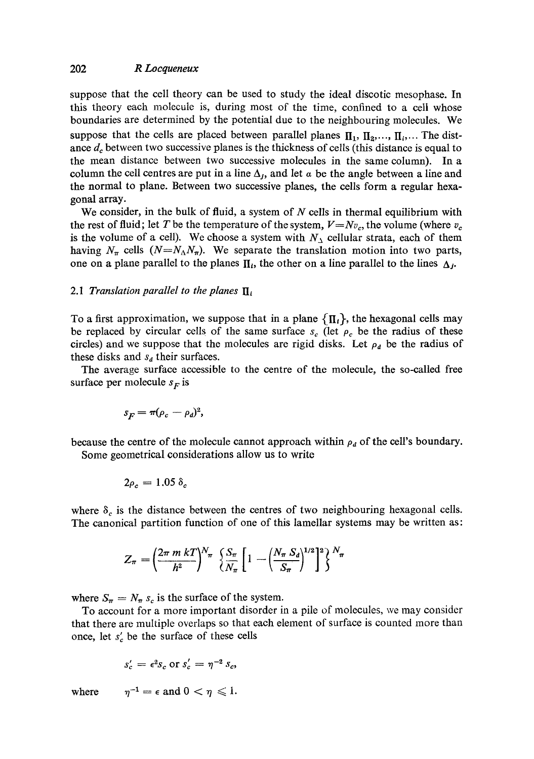## 202 *R Loequeneux*

suppose that the cell theory can be used to study the ideal discotic mesophase. In this theory each molecule is, during most of the time, confined to a cell whose boundaries are determined by the potential due to the neighbouring molecules. We suppose that the cells are placed between parallel planes  $\mathbf{\Pi}_1$ ,  $\mathbf{\Pi}_2$ ,...,  $\mathbf{\Pi}_i$ ,... The distance  $d<sub>c</sub>$  between two successive planes is the thickness of cells (this distance is equal to the mean distance between two successive molecules in the same column). In a column the cell centres are put in a line  $\Delta_t$ , and let  $\alpha$  be the angle between a line and the normal to plane. Between two successive planes, the cells form a regular hexagonal array.

We consider, in the bulk of fluid, a system of  $N$  cells in thermal equilibrium with the rest of fluid; let T be the temperature of the system,  $V=Nv_c$ , the volume (where  $v_c$ ) is the volume of a cell). We choose a system with  $N_{\Delta}$  cellular strata, each of them having  $N_{\pi}$  cells  $(N=N_{\Lambda}N_{\pi})$ . We separate the translation motion into two parts, one on a plane parallel to the planes  $\Pi_i$ , the other on a line parallel to the lines  $\Delta_i$ .

## 2.1 *Translation parallel to the planes*  $\mathbf{I}_i$

To a first approximation, we suppose that in a plane  $\{\Pi_i\}$ , the hexagonal cells may be replaced by circular cells of the same surface  $s_c$  (let  $\rho_c$  be the radius of these circles) and we suppose that the molecules are rigid disks. Let  $\rho_d$  be the radius of these disks and  $s_d$  their surfaces.

The average surface accessible to the centre of the molecule, the so-called free surface per molecule  $s_F$  is

$$
s_F = \pi (\rho_c - \rho_d)^2,
$$

because the centre of the molecule cannot approach within  $\rho_d$  of the cell's boundary. Some geometrical considerations allow us to write

$$
2\rho_c=1.05~\delta_c
$$

where  $\delta_c$  is the distance between the centres of two neighbouring hexagonal cells. The canonical partition function of one of this lamellar systems may be written as:

$$
Z_{\pi} = \left(\frac{2\pi m kT}{h^{2}}\right)^{N_{\pi}} \left\{\frac{S_{\pi}}{N_{\pi}} \left[1 - \left(\frac{N_{\pi} S_{d}}{S_{\pi}}\right)^{1/2}\right]^{2}\right\}^{N_{\pi}}
$$

where  $S_{\pi} = N_{\pi} s_c$  is the surface of the system.

To account for a more important disorder in a pile of molecules, we may consider that there are multiple overlaps so that each element of surface is counted more than once, let  $s'_{c}$  be the surface of these cells

$$
s_c' = \epsilon^2 s_c \text{ or } s_c' = \eta^{-2} s_c,
$$

where  $\eta^{-1} = \epsilon$  and  $0 < \eta \leq 1$ .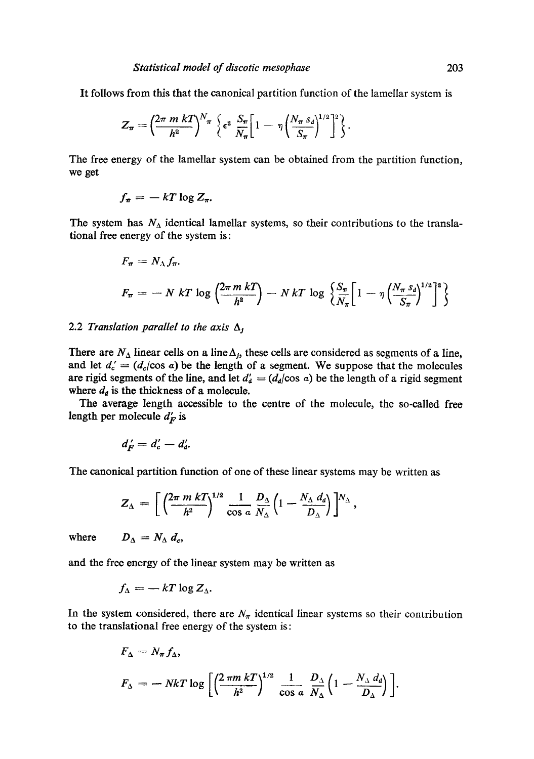It follows from this that the canonical partition function of the lamellar system is

$$
Z_{\pi}=\left(\frac{2\pi m kT}{h^2}\right)^{N_{\pi}}\left\{\epsilon^2 \frac{S_{\pi}}{N_{\pi}}\left[1-\eta \left(\frac{N_{\pi} s_d}{S_{\pi}}\right)^{1/2}\right]^2\right\}.
$$

The free energy of the lamellar system can be obtained from the partition function, we get

$$
f_{\pi}=-kT\log Z_{\pi}.
$$

The system has  $N_A$  identical lamellar systems, so their contributions to the translational free energy of the system is:

$$
F_{\pi} = N_{\Lambda} f_{\pi}.
$$
  

$$
F_{\pi} = -N kT \log \left( \frac{2\pi m kT}{h^2} \right) - N kT \log \left\{ \frac{S_{\pi}}{N_{\pi}} \left[ 1 - \eta \left( \frac{N_{\pi} S_d}{S_{\pi}} \right)^{1/2} \right]^2 \right\}
$$

### 2.2 *Translation parallel to the axis*  $\Delta$ <sup>*j*</sup>

There are  $N_A$  linear cells on a line  $\Delta_i$ , these cells are considered as segments of a line, and let  $d_c = (d_c/\cos a)$  be the length of a segment. We suppose that the molecules are rigid segments of the line, and let  $d'_{d} = (d_{d}/\cos a)$  be the length of a rigid segment where  $d_d$  is the thickness of a molecule.

The average length accessible to the centre of the molecule, the so-called free length per molecule  $d_F$  is

$$
d'_{F}=d'_{c}-d'_{d}.
$$

The canonical partition function of one of these linear systems may be written as

$$
Z_{\Delta} = \left[ \left( \frac{2\pi m kT}{h^2} \right)^{1/2} \frac{1}{\cos a} \frac{D_{\Delta}}{N_{\Delta}} \left( 1 - \frac{N_{\Delta} d_d}{D_{\Delta}} \right) \right]^{N_{\Delta}},
$$

where  $D_{\Lambda} = N_{\Lambda} d_c$ 

and the free energy of the linear system may be written as

$$
f_{\Delta} = -kT \log Z_{\Delta}.
$$

In the system considered, there are  $N_{\pi}$  identical linear systems so their contribution to the translational free energy of the system is:

$$
F_{\Delta} = N_{\pi} f_{\Delta},
$$
  

$$
F_{\Delta} = - NkT \log \left[ \left( \frac{2 \pi m kT}{h^2} \right)^{1/2} \frac{1}{\cos a} \frac{D_{\Delta}}{N_{\Delta}} \left( 1 - \frac{N_{\Delta} d_d}{D_{\Delta}} \right) \right].
$$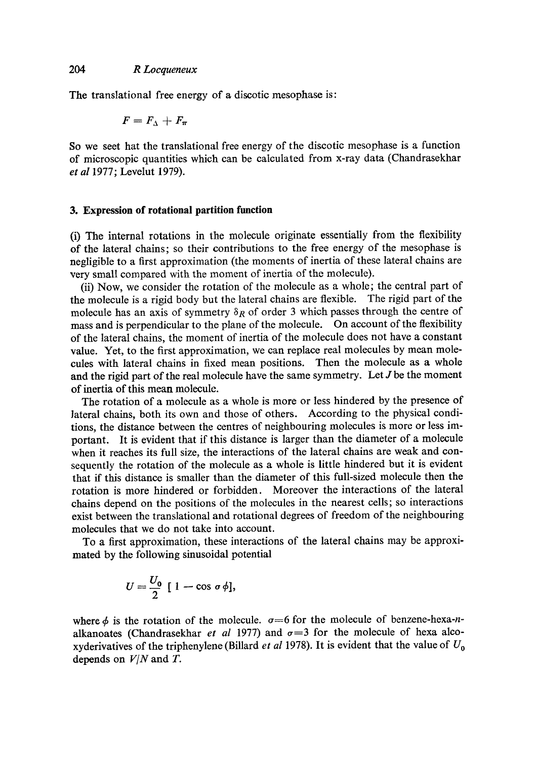The translational free energy of a discotic mesophase is:

$$
F=F_{\Delta}+F_{\pi}
$$

So we seet hat the translational free energy of the discotic mesophase is a function of microscopic quantities which can be calculated from x-ray data (Chandrasekhar *et al* 1977; Levelut 1979).

#### **3. Expression of rotational partition function**

(i) The internal rotations in the molecule originate essentially from the flexibility of the lateral chains; so their contributions to the free energy of the mesophase is negligible to a first approximation (the moments of inertia of these lateral chains are very small compared with the moment of inertia of the molecule).

(ii) Now, we consider the rotation of the molecule as a whole; the central part of the molecule is a rigid body but the lateral chains are flexible. The rigid part of the molecule has an axis of symmetry  $\delta_R$  of order 3 which passes through the centre of mass and is perpendicular to the plane of the molecule. On account of the flexibility of the lateral chains, the moment of inertia of the molecule does not have a constant value. Yet, to the first approximation, we can replace real molecules by mean molecules with lateral chains in fixed mean positions. Then the molecule as a whole and the rigid part of the real molecule have the same symmetry. Let J be the moment of inertia of this mean molecule.

The rotation of a molecule as a whole is more or less hindered by the presence of lateral chains, both its own and those of others. According to the physical conditions, the distance between the centres of neighbouring molecules is more or less important. It is evident that if this distance is larger than the diameter of a molecule when it reaches its full size, the interactions of the lateral chains are weak and consequently the rotation of the molecule as a whole is little hindered but it is evident that if this distance is smaller than the diameter of this full-sized molecule then the rotation is more hindered or forbidden. Moreover the interactions of the lateral chains depend on the positions of the molecules in the nearest cells; so interactions exist between the translational and rotational degrees of freedom of the neighbouring molecules that we do not take into account.

To a first approximation, these interactions of the lateral chains may be approximated by the following sinusoidal potential

$$
U=\frac{U_0}{2}\,\left[\,1-\cos\,\sigma\,\phi\right],
$$

where  $\phi$  is the rotation of the molecule,  $\sigma=6$  for the molecule of benzene-hexa-nalkanoates (Chandrasekhar *et al* 1977) and  $\sigma = 3$  for the molecule of hexa alcoxyderivatives of the triphenylene (Billard *et al* 1978). It is evident that the value of  $U_0$ depends on *V/N* and T.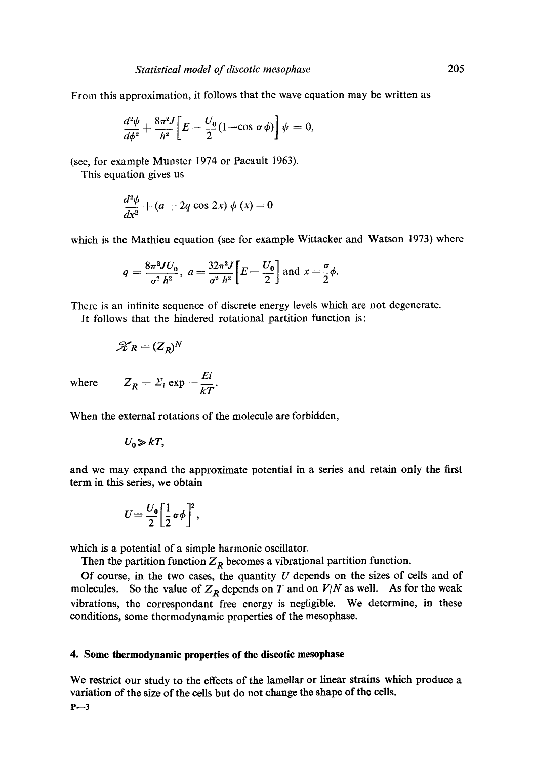From this approximation, it follows that the wave equation may be written as

$$
\frac{d^2\psi}{d\phi^2} + \frac{8\pi^2 J}{h^2} \bigg[ E - \frac{U_0}{2} (1 - \cos \sigma \phi) \bigg] \psi = 0,
$$

(see, for example Munster 1974 or Pacault 1963).

This equation gives us

$$
\frac{d^2\psi}{dx^2} + (a+2q\cos 2x)\psi(x) = 0
$$

which is the Mathieu equation (see for example Wittacker and Watson 1973) where

$$
q = \frac{8\pi^2 J U_0}{\sigma^2 h^2}, \ a = \frac{32\pi^2 J}{\sigma^2 h^2} \bigg[ E - \frac{U_0}{2} \bigg] \text{ and } x = \frac{\sigma}{2} \phi.
$$

There is an infinite sequence of discrete energy levels which are not degenerate.

It follows that the hindered rotational partition function is:

$$
\mathcal{K}_R = (Z_R)^N
$$

 $where$ 

$$
Z_R = \Sigma_i \exp{-\frac{E_i}{kT}}.
$$

When the external rotations of the molecule are forbidden,

$$
U_0\gg kT,
$$

and we may expand the approximate potential in a series and retain only the first term in this series, we obtain

$$
U=\frac{U_0}{2}\bigg[\frac{1}{2}\,\sigma\phi\bigg]^2,
$$

which is a potential of a simple harmonic oscillator.

Then the partition function  $Z_R$  becomes a vibrational partition function.

Of course, in the two cases, the quantity  $U$  depends on the sizes of cells and of molecules. So the value of  $Z_R$  depends on T and on  $V/N$  as well. As for the weak vibrations, the correspondant free energy is negligible. We determine, in these conditions, some thermodynamic properties of the mesophase.

## **4. Some thermodynamic properties of the discotic mesophase**

We restrict our study to the effects of the lamellar or linear strains which produce a variation of the size of the cells but do not change the shape of the cells.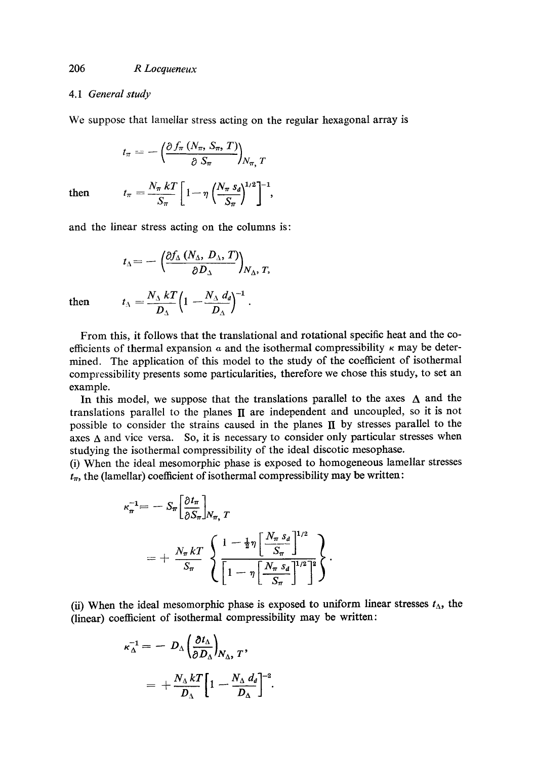### 4.1 *General study*

We suppose that lamellar stress acting on the regular hexagonal array is

$$
t_{\pi} = -\left(\frac{\partial f_{\pi} (N_{\pi}, S_{\pi}, T)}{\partial S_{\pi}}\right)_{N_{\pi}, T}
$$
  
then 
$$
t_{\pi} = \frac{N_{\pi} kT}{S_{\pi}} \left[1 - \eta \left(\frac{N_{\pi} s_d}{S_{\pi}}\right)^{1/2}\right]^{-1},
$$

and the linear stress acting on the columns is:

$$
t_{\Delta} = -\left(\frac{\partial f_{\Delta} (N_{\Delta}, D_{\Delta}, T)}{\partial D_{\Delta}}\right)_{N_{\Delta}, T,}
$$
  
then 
$$
t_{\Delta} = \frac{N_{\Delta} kT}{D_{\Delta}} \left(1 - \frac{N_{\Delta} d_d}{D_{\Delta}}\right)^{-1}.
$$

From this, it follows that the translational and rotational specific heat and the coefficients of thermal expansion  $\alpha$  and the isothermal compressibility  $\kappa$  may be determined. The application of this model to the study of the coefficient of isothermal compressibility presents some particularities, therefore we chose this study, to set an example.

In this model, we suppose that the translations parallel to the axes  $\Delta$  and the translations parallel to the planes  $\Pi$  are independent and uncoupled, so it is not possible to consider the strains caused in the planes  $\Pi$  by stresses parallel to the axes  $\Delta$  and vice versa. So, it is necessary to consider only particular stresses when studying the isothermal compressibility of the ideal discotic mesophase.

(i) When the ideal mesomorphic phase is exposed to homogeneous lamellar stresses  $t_{\pi}$ , the (lamellar) coefficient of isothermal compressibility may be written:

$$
\kappa_{\pi}^{-1} = -S_{\pi} \left[ \frac{\partial t_{\pi}}{\partial S_{\pi}} \right]_{N_{\pi}, T}
$$
  
= 
$$
+ \frac{N_{\pi} kT}{S_{\pi}} \left\{ \frac{1 - \frac{1}{2} \eta \left[ \frac{N_{\pi} S_d}{S_{\pi}} \right]^{1/2}}{\left[ 1 - \eta \left[ \frac{N_{\pi} S_d}{S_{\pi}} \right]^{1/2} \right]^2} \right\}.
$$

(ii) When the ideal mesomorphic phase is exposed to uniform linear stresses  $t_{\Delta}$ , the (linear) coefficient of isothermal compressibility may be written:

$$
\kappa_{\Delta}^{-1} = - D_{\Delta} \left( \frac{\partial t_{\Delta}}{\partial D_{\Delta}} \right)_{N_{\Delta}, T},
$$
  
= +  $\frac{N_{\Delta} k T}{D_{\Delta}} \left[ 1 - \frac{N_{\Delta} d_d}{D_{\Delta}} \right]^{-2}.$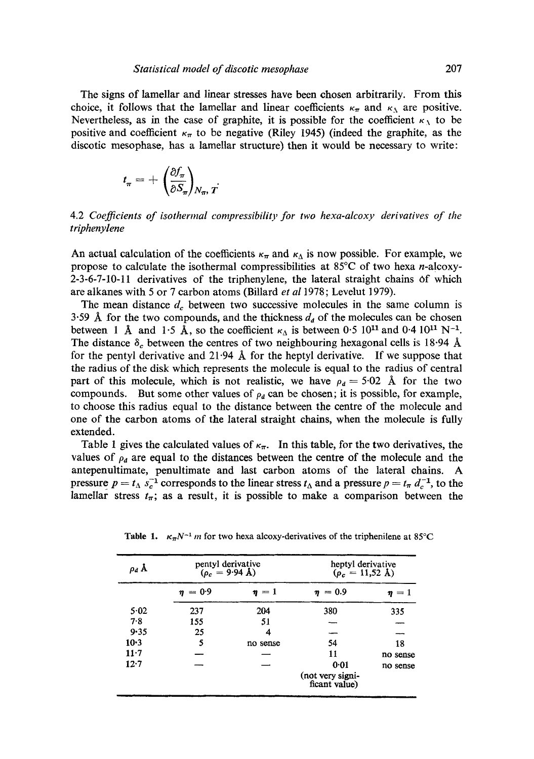The signs of lamellar and linear stresses have been chosen arbitrarily. From this choice, it follows that the lamellar and linear coefficients  $\kappa_{\pi}$  and  $\kappa_{\gamma}$  are positive. Nevertheless, as in the case of graphite, it is possible for the coefficient  $\kappa_{\lambda}$  to be positive and coefficient  $\kappa_{\pi}$  to be negative (Riley 1945) (indeed the graphite, as the discotic mesophase, has a lamellar structure) then it would be necessary to write:

$$
t_{\pi} = + \left(\frac{\partial f_{\pi}}{\partial S_{\pi}}\right)_{N_{\pi}, T}
$$

4.2 *Coefficients of isothermal compressibility for two hexa-alcoxy derivatives of the triphenylene* 

An actual calculation of the coefficients  $\kappa_{\pi}$  and  $\kappa_{\Delta}$  is now possible. For example, we propose to calculate the isothermal compressibilities at  $85^{\circ}$ C of two hexa *n*-alcoxy-2-3-6-7-10-11 derivatives of the triphenylene, the lateral straight chains Of which are alkanes with 5 or 7 carbon atoms (Billard *et a11978;* Levelut 1979).

The mean distance  $d_c$  between two successive molecules in the same column is 3.59 Å for the two compounds, and the thickness  $d_d$  of the molecules can be chosen between 1 Å and 1.5 Å, so the coefficient  $\kappa_{\Delta}$  is between 0.5 10<sup>11</sup> and 0.4 10<sup>11</sup> N<sup>-1</sup>. The distance  $\delta_c$  between the centres of two neighbouring hexagonal cells is 18.94 Å for the pentyl derivative and  $21.94$  Å for the heptyl derivative. If we suppose that the radius of the disk which represents the molecule is equal to the radius of central part of this molecule, which is not realistic, we have  $\rho_d = 5.02$  Å for the two compounds. But some other values of  $\rho_d$  can be chosen; it is possible, for example, to choose this radius equal to the distance between the centre of the molecule and one of the carbon atoms of the lateral straight chains, when the molecule is fully extended.

Table 1 gives the calculated values of  $\kappa_{\pi}$ . In this table, for the two derivatives, the values of  $\rho_d$  are equal to the distances between the centre of the molecule and the antepenultimate, penultimate and last carbon atoms of the lateral chains. A pressure  $p = t_{\Delta} s_{c}^{-1}$  corresponds to the linear stress  $t_{\Delta}$  and a pressure  $p = t_{\pi} d_{c}^{-1}$ , to the lamellar stress  $t_{\pi}$ ; as a result, it is possible to make a comparison between the

| $\rho_d$ Å | pentyl derivative<br>$(\rho_c = 9.94 \text{ Å})$ |            | heptyl derivative<br>$(\rho_c = 11, 52 \text{ Å})$ |           |
|------------|--------------------------------------------------|------------|----------------------------------------------------|-----------|
|            | $\eta = 0.9$                                     | $\eta = 1$ | $\eta = 0.9$                                       | $=1$<br>η |
| 5.02       | 237                                              | 204        | 380                                                | 335       |
| 7.8        | 155                                              | 51         |                                                    |           |
| 9.35       | 25                                               | 4          |                                                    |           |
| $10-3$     | 5                                                | no sense   | 54                                                 | 18        |
| $11 - 7$   |                                                  |            | 11                                                 | no sense  |
| $12 - 7$   |                                                  |            | 0.01                                               | no sense  |
|            |                                                  |            | (not very signi-<br>ficant value)                  |           |

Table 1.  $\kappa_{\pi} N^{-1}$  m for two hexa alcoxy-derivatives of the triphenilene at 85°C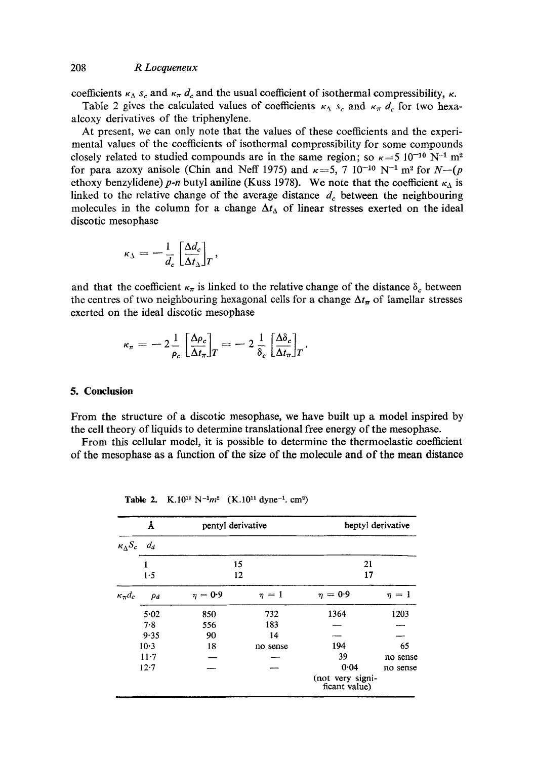## 208 *R Locqueneux*

coefficients  $\kappa_{\Delta} s_c$  and  $\kappa_{\pi} d_c$  and the usual coefficient of isothermal compressibility,  $\kappa$ .

Table 2 gives the calculated values of coefficients  $\kappa_A s_c$  and  $\kappa_{\pi} d_c$  for two hexaalcoxy derivatives of the triphenylene.

At present, we can only note that the values of these coefficients and the experimental values of the coefficients of isothermal compressibility for some compounds closely related to studied compounds are in the same region; so  $\kappa = 5 \times 10^{-10} \text{ N}^{-1} \text{ m}^2$ for para azoxy anisole (Chin and Neff 1975) and  $\kappa = 5$ , 7 10<sup>-10</sup> N<sup>-1</sup> m<sup>2</sup> for *N*--(*p* ethoxy benzylidene) p-n butyl aniline (Kuss 1978). We note that the coefficient  $\kappa_{\Delta}$  is linked to the relative change of the average distance  $d_c$  between the neighbouring molecules in the column for a change  $\Delta t_{\Delta}$  of linear stresses exerted on the ideal discotic mesophase

$$
\kappa_{\lambda} = -\frac{1}{d_c} \left[ \frac{\Delta d_c}{\Delta t_{\lambda}} \right]_T,
$$

and that the coefficient  $\kappa_{\pi}$  is linked to the relative change of the distance  $\delta_c$  between the centres of two neighbouring hexagonal cells for a change  $\Delta t_{\pi}$  of lamellar stresses exerted on the ideal discotic mesophase

$$
\kappa_{\pi} = -2\frac{1}{\rho_c} \left[ \frac{\Delta \rho_c}{\Delta t_{\pi}} \right]_T = -2\frac{1}{\delta_c} \left[ \frac{\Delta \delta_c}{\Delta t_{\pi}} \right]_T.
$$

#### **5. Conclusion**

From the structure of a discotic mesophase, we have built up a model inspired by the cell theory of liquids to determine translational free energy of the mesophase.

From this cellular model, it is possible to determine the thermoelastic coefficient of the mesophase as a function of the size of the molecule and of the mean distance

| Å                                    |           | pentyl derivative |            | heptyl derivative                 |            |
|--------------------------------------|-----------|-------------------|------------|-----------------------------------|------------|
| $\kappa_{\Lambda}S_c$ d <sub>d</sub> |           |                   |            |                                   |            |
| 1                                    |           | 15                |            | 21<br>17                          |            |
|                                      | 12<br>1.5 |                   |            |                                   |            |
| $\kappa_{\pi}d_c$                    | $\rho_d$  | $\eta = 0.9$      | $\eta = 1$ | $\eta = 0.9$                      | $\eta = 1$ |
|                                      | 5.02      | 850               | 732        | 1364                              | 1203       |
|                                      | 7.8       | 556               | 183        |                                   |            |
|                                      | 9.35      | 90                | 14         |                                   |            |
|                                      | $10-3$    | 18                | no sense   | 194                               | 65         |
|                                      | $11 - 7$  |                   |            | 39                                | no sense   |
| 12.7                                 |           |                   |            | 0.04                              | no sense   |
|                                      |           |                   |            | (not very signi-<br>ficant value) |            |

Table 2. K.10<sup>10</sup> N<sup>-1</sup> $m^2$  (K.10<sup>11</sup> dyne<sup>-1</sup>. cm<sup>2</sup>)